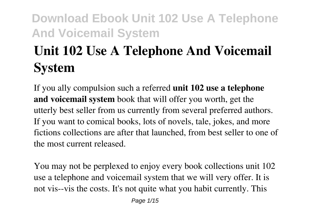# **Unit 102 Use A Telephone And Voicemail System**

If you ally compulsion such a referred **unit 102 use a telephone and voicemail system** book that will offer you worth, get the utterly best seller from us currently from several preferred authors. If you want to comical books, lots of novels, tale, jokes, and more fictions collections are after that launched, from best seller to one of the most current released.

You may not be perplexed to enjoy every book collections unit 102 use a telephone and voicemail system that we will very offer. It is not vis--vis the costs. It's not quite what you habit currently. This

Page 1/15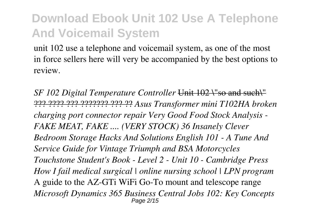unit 102 use a telephone and voicemail system, as one of the most in force sellers here will very be accompanied by the best options to review.

*SF 102 Digital Temperature Controller* Unit 102 \"so and such\" ??? ???? ??? ??????? ??? ?? *Asus Transformer mini T102HA broken charging port connector repair Very Good Food Stock Analysis - FAKE MEAT, FAKE .... (VERY STOCK) 36 Insanely Clever Bedroom Storage Hacks And Solutions English 101 - A Tune And Service Guide for Vintage Triumph and BSA Motorcycles Touchstone Student's Book - Level 2 - Unit 10 - Cambridge Press How I fail medical surgical | online nursing school | LPN program* A guide to the AZ-GTi WiFi Go-To mount and telescope range *Microsoft Dynamics 365 Business Central Jobs 102: Key Concepts* Page 2/15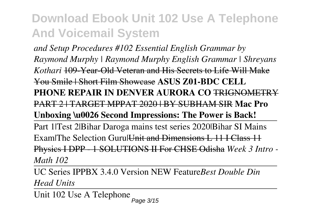*and Setup Procedures #102 Essential English Grammar by Raymond Murphy | Raymond Murphy English Grammar | Shreyans Kothari* 109-Year-Old Veteran and His Secrets to Life Will Make You Smile | Short Film Showcase **ASUS Z01-BDC CELL PHONE REPAIR IN DENVER AURORA CO** TRIGNOMETRY PART 2 | TARGET MPPAT 2020 | BY SUBHAM SIR **Mac Pro Unboxing \u0026 Second Impressions: The Power is Back!** Part 1|Test 2|Bihar Daroga mains test series 2020|Bihar SI Mains Exam|The Selection Guru|Unit and Dimensions L 11 I Class 11 Physics I DPP - 1 SOLUTIONS II For CHSE Odisha *Week 3 Intro - Math 102*

UC Series IPPBX 3.4.0 Version NEW Feature*Best Double Din Head Units*

Unit 102 Use A Telephone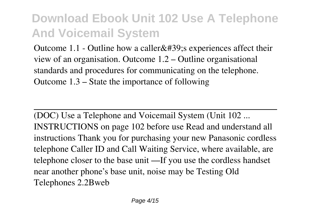Outcome 1.1 - Outline how a caller $&\#39$ ; experiences affect their view of an organisation. Outcome 1.2 – Outline organisational standards and procedures for communicating on the telephone. Outcome 1.3 – State the importance of following

(DOC) Use a Telephone and Voicemail System (Unit 102 ... INSTRUCTIONS on page 102 before use Read and understand all instructions Thank you for purchasing your new Panasonic cordless telephone Caller ID and Call Waiting Service, where available, are telephone closer to the base unit —If you use the cordless handset near another phone's base unit, noise may be Testing Old Telephones 2.2Bweb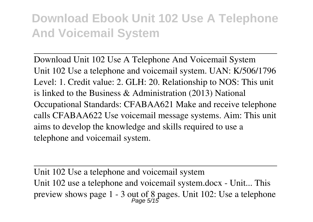Download Unit 102 Use A Telephone And Voicemail System Unit 102 Use a telephone and voicemail system. UAN: K/506/1796 Level: 1. Credit value: 2. GLH: 20. Relationship to NOS: This unit is linked to the Business & Administration (2013) National Occupational Standards: CFABAA621 Make and receive telephone calls CFABAA622 Use voicemail message systems. Aim: This unit aims to develop the knowledge and skills required to use a telephone and voicemail system.

Unit 102 Use a telephone and voicemail system Unit 102 use a telephone and voicemail system.docx - Unit... This preview shows page 1 - 3 out of 8 pages. Unit 102: Use a telephone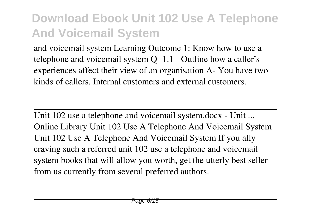and voicemail system Learning Outcome 1: Know how to use a telephone and voicemail system Q- 1.1 - Outline how a caller's experiences affect their view of an organisation A- You have two kinds of callers. Internal customers and external customers.

Unit 102 use a telephone and voicemail system.docx - Unit ... Online Library Unit 102 Use A Telephone And Voicemail System Unit 102 Use A Telephone And Voicemail System If you ally craving such a referred unit 102 use a telephone and voicemail system books that will allow you worth, get the utterly best seller from us currently from several preferred authors.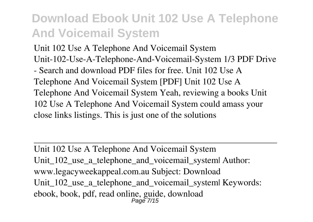Unit 102 Use A Telephone And Voicemail System Unit-102-Use-A-Telephone-And-Voicemail-System 1/3 PDF Drive - Search and download PDF files for free. Unit 102 Use A Telephone And Voicemail System [PDF] Unit 102 Use A Telephone And Voicemail System Yeah, reviewing a books Unit 102 Use A Telephone And Voicemail System could amass your close links listings. This is just one of the solutions

Unit 102 Use A Telephone And Voicemail System Unit\_102\_use\_a\_telephone\_and\_voicemail\_system| Author: www.legacyweekappeal.com.au Subject: Download Unit\_102\_use\_a\_telephone\_and\_voicemail\_system| Keywords: ebook, book, pdf, read online, guide, download Page 7/15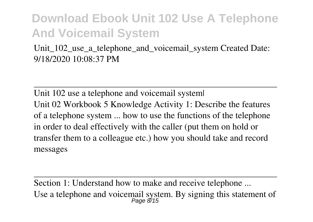#### Unit  $102$  use a telephone and voicemail system Created Date: 9/18/2020 10:08:37 PM

Unit 102 use a telephone and voicemail system| Unit 02 Workbook 5 Knowledge Activity 1: Describe the features of a telephone system ... how to use the functions of the telephone in order to deal effectively with the caller (put them on hold or transfer them to a colleague etc.) how you should take and record messages

Section 1: Understand how to make and receive telephone ... Use a telephone and voicemail system. By signing this statement of  $Page \& 15$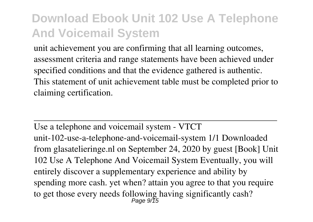unit achievement you are confirming that all learning outcomes, assessment criteria and range statements have been achieved under specified conditions and that the evidence gathered is authentic. This statement of unit achievement table must be completed prior to claiming certification.

Use a telephone and voicemail system - VTCT unit-102-use-a-telephone-and-voicemail-system 1/1 Downloaded from glasatelieringe.nl on September 24, 2020 by guest [Book] Unit 102 Use A Telephone And Voicemail System Eventually, you will entirely discover a supplementary experience and ability by spending more cash. yet when? attain you agree to that you require to get those every needs following having significantly cash?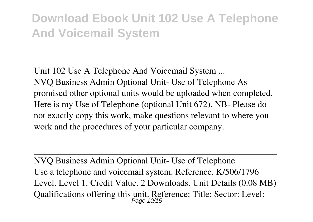Unit 102 Use A Telephone And Voicemail System ... NVQ Business Admin Optional Unit- Use of Telephone As promised other optional units would be uploaded when completed. Here is my Use of Telephone (optional Unit 672). NB- Please do not exactly copy this work, make questions relevant to where you work and the procedures of your particular company.

NVQ Business Admin Optional Unit- Use of Telephone Use a telephone and voicemail system. Reference. K/506/1796 Level. Level 1. Credit Value. 2 Downloads. Unit Details (0.08 MB) Qualifications offering this unit. Reference: Title: Sector: Level:<br>Page 10/15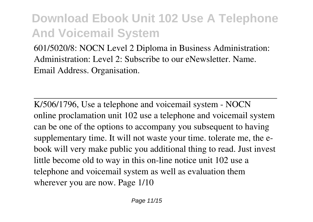601/5020/8: NOCN Level 2 Diploma in Business Administration: Administration: Level 2: Subscribe to our eNewsletter. Name. Email Address. Organisation.

K/506/1796, Use a telephone and voicemail system - NOCN online proclamation unit 102 use a telephone and voicemail system can be one of the options to accompany you subsequent to having supplementary time. It will not waste your time. tolerate me, the ebook will very make public you additional thing to read. Just invest little become old to way in this on-line notice unit 102 use a telephone and voicemail system as well as evaluation them wherever you are now. Page 1/10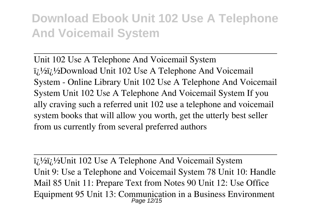Unit 102 Use A Telephone And Voicemail System  $i_l$ <sup>1</sup>/<sub>2</sub> $i_l$ <sup>1</sup>/<sub>2</sub> $i_l$ <sup>1</sup>/<sub>2</sub>Download Unit 102 Use A Telephone And Voicemail System - Online Library Unit 102 Use A Telephone And Voicemail System Unit 102 Use A Telephone And Voicemail System If you ally craving such a referred unit 102 use a telephone and voicemail system books that will allow you worth, get the utterly best seller from us currently from several preferred authors

 $i_{\lambda}$ <sup>1</sup>/<sub>2</sub> $i_{\lambda}$ <sup>1</sup>/<sub>2</sub>Unit 102 Use A Telephone And Voicemail System Unit 9: Use a Telephone and Voicemail System 78 Unit 10: Handle Mail 85 Unit 11: Prepare Text from Notes 90 Unit 12: Use Office Equipment 95 Unit 13: Communication in a Business Environment Page 12/15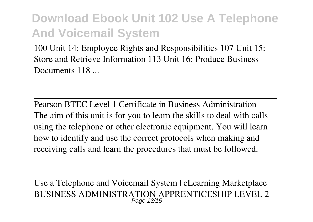100 Unit 14: Employee Rights and Responsibilities 107 Unit 15: Store and Retrieve Information 113 Unit 16: Produce Business Documents 118

Pearson BTEC Level 1 Certificate in Business Administration The aim of this unit is for you to learn the skills to deal with calls using the telephone or other electronic equipment. You will learn how to identify and use the correct protocols when making and receiving calls and learn the procedures that must be followed.

Use a Telephone and Voicemail System | eLearning Marketplace BUSINESS ADMINISTRATION APPRENTICESHIP LEVEL 2 Page 13/15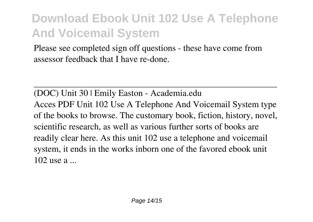Please see completed sign off questions - these have come from assessor feedback that I have re-done.

(DOC) Unit 30 | Emily Easton - Academia.edu Acces PDF Unit 102 Use A Telephone And Voicemail System type of the books to browse. The customary book, fiction, history, novel, scientific research, as well as various further sorts of books are readily clear here. As this unit 102 use a telephone and voicemail system, it ends in the works inborn one of the favored ebook unit 102 use a ...